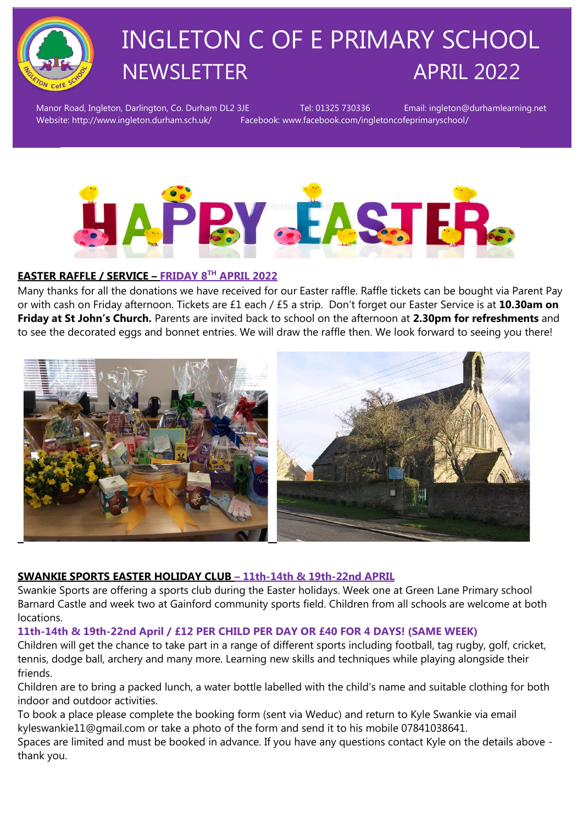

# INGLETON C OF E PRIMARY SCHOOL NEWSLETTER APRIL 2022

Manor Road, Ingleton, Darlington, Co. Durham DL2 3JE Tel: 01325 730336 Email: ingleton@durhamlearning.net Website: http://www.ingleton.durham.sch.uk/ Facebook: www.facebook.com/ingletoncofeprimaryschool/



#### **EASTER RAFFLE / SERVICE – FRIDAY 8TH APRIL 2022**

Many thanks for all the donations we have received for our Easter raffle. Raffle tickets can be bought via Parent Pay or with cash on Friday afternoon. Tickets are £1 each / £5 a strip. Don't forget our Easter Service is at **10.30am on Friday at St John's Church.** Parents are invited back to school on the afternoon at **2.30pm for refreshments** and to see the decorated eggs and bonnet entries. We will draw the raffle then. We look forward to seeing you there!



#### **SWANKIE SPORTS EASTER HOLIDAY CLUB – 11th-14th & 19th-22nd APRIL**

Swankie Sports are offering a sports club during the Easter holidays. Week one at Green Lane Primary school Barnard Castle and week two at Gainford community sports field. Children from all schools are welcome at both locations.

#### **11th-14th & 19th-22nd April / £12 PER CHILD PER DAY OR £40 FOR 4 DAYS! (SAME WEEK)**

Children will get the chance to take part in a range of different sports including football, tag rugby, golf, cricket, tennis, dodge ball, archery and many more. Learning new skills and techniques while playing alongside their friends.

Children are to bring a packed lunch, a water bottle labelled with the child's name and suitable clothing for both indoor and outdoor activities.

To book a place please complete the booking form (sent via Weduc) and return to Kyle Swankie via email kyleswankie11@gmail.com or take a photo of the form and send it to his mobile 07841038641.

Spaces are limited and must be booked in advance. If you have any questions contact Kyle on the details above thank you.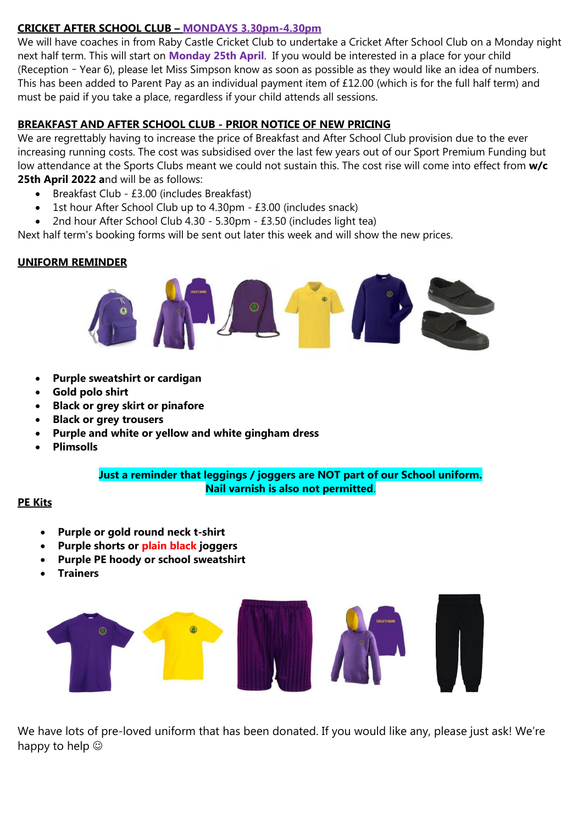#### **CRICKET AFTER SCHOOL CLUB – MONDAYS 3.30pm-4.30pm**

We will have coaches in from Raby Castle Cricket Club to undertake a Cricket After School Club on a Monday night next half term. This will start on **Monday 25th April**. If you would be interested in a place for your child (Reception – Year 6), please let Miss Simpson know as soon as possible as they would like an idea of numbers. This has been added to Parent Pay as an individual payment item of £12.00 (which is for the full half term) and must be paid if you take a place, regardless if your child attends all sessions.

#### **BREAKFAST AND AFTER SCHOOL CLUB - PRIOR NOTICE OF NEW PRICING**

We are regrettably having to increase the price of Breakfast and After School Club provision due to the ever increasing running costs. The cost was subsidised over the last few years out of our Sport Premium Funding but low attendance at the Sports Clubs meant we could not sustain this. The cost rise will come into effect from **w/c 25th April 2022 a**nd will be as follows:

- Breakfast Club £3.00 (includes Breakfast)
- 1st hour After School Club up to 4.30pm £3.00 (includes snack)
- 2nd hour After School Club 4.30 5.30pm £3.50 (includes light tea)

Next half term's booking forms will be sent out later this week and will show the new prices.

#### **UNIFORM REMINDER**



- **Purple sweatshirt or cardigan**
- **Gold polo shirt**
- **Black or grey skirt or pinafore**
- **Black or grey trousers**
- **Purple and white or yellow and white gingham dress**
- **Plimsolls**

**Just a reminder that leggings / joggers are NOT part of our School uniform. Nail varnish is also not permitted**.

#### **PE Kits**

- **Purple or gold round neck t-shirt**
- **Purple shorts or plain black joggers**
- **Purple PE hoody or school sweatshirt**
- **Trainers**



We have lots of pre-loved uniform that has been donated. If you would like any, please just ask! We're happy to help  $\odot$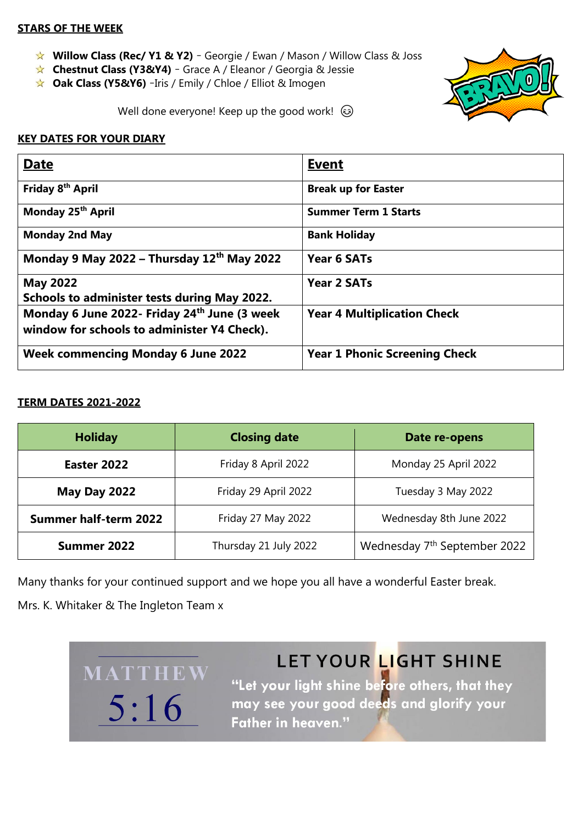#### **STARS OF THE WEEK**

- **Willow Class (Rec/ Y1 & Y2)** Georgie / Ewan / Mason / Willow Class & Joss
- **Chestnut Class (Y3&Y4)** Grace A / Eleanor / Georgia & Jessie
- **★ Oak Class (Y5&Y6)** -Iris / Emily / Chloe / Elliot & Imogen



Well done everyone! Keep up the good work!  $\odot$ 

#### **KEY DATES FOR YOUR DIARY**

| <b>Date</b>                                  | <b>Event</b>                         |
|----------------------------------------------|--------------------------------------|
| Friday 8 <sup>th</sup> April                 | <b>Break up for Easter</b>           |
| Monday 25 <sup>th</sup> April                | <b>Summer Term 1 Starts</b>          |
| <b>Monday 2nd May</b>                        | <b>Bank Holiday</b>                  |
| Monday 9 May 2022 - Thursday $12th$ May 2022 | Year 6 SATs                          |
| <b>May 2022</b>                              | Year 2 SATs                          |
| Schools to administer tests during May 2022. |                                      |
| Monday 6 June 2022- Friday 24th June (3 week | <b>Year 4 Multiplication Check</b>   |
| window for schools to administer Y4 Check).  |                                      |
| <b>Week commencing Monday 6 June 2022</b>    | <b>Year 1 Phonic Screening Check</b> |

#### **TERM DATES 2021-2022**

| <b>Holiday</b>               | <b>Closing date</b>   | Date re-opens                            |
|------------------------------|-----------------------|------------------------------------------|
| Easter 2022                  | Friday 8 April 2022   | Monday 25 April 2022                     |
| <b>May Day 2022</b>          | Friday 29 April 2022  | Tuesday 3 May 2022                       |
| <b>Summer half-term 2022</b> | Friday 27 May 2022    | Wednesday 8th June 2022                  |
| Summer 2022                  | Thursday 21 July 2022 | Wednesday 7 <sup>th</sup> September 2022 |

Many thanks for your continued support and we hope you all have a wonderful Easter break.

Mrs. K. Whitaker & The Ingleton Team x

MATTHEW

 $5:16$ 

# LET YOUR LIGHT SHINE

"Let your light shine before others, that they may see your good deeds and glorify your **Father in heaven."**